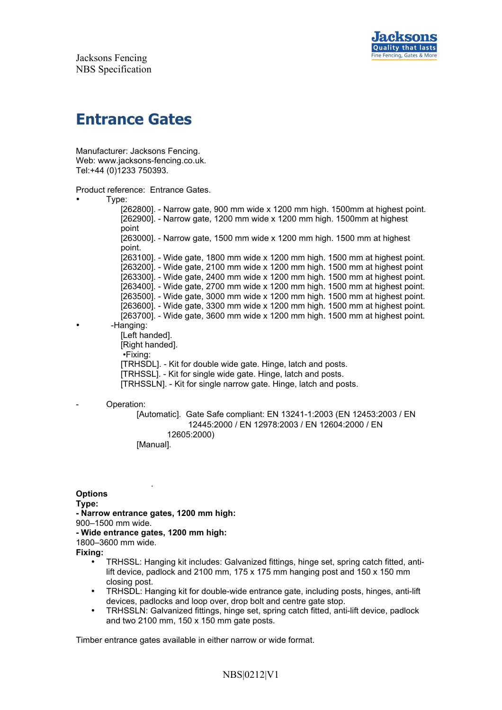

Jacksons Fencing NBS Specification

# **Entrance Gates**

Manufacturer: Jacksons Fencing. Web: www.jacksons-fencing.co.uk. Tel:+44 (0)1233 750393.

Product reference: Entrance Gates.

• Type:

[262800]. - Narrow gate, 900 mm wide x 1200 mm high. 1500mm at highest point. [262900]. - Narrow gate, 1200 mm wide x 1200 mm high. 1500mm at highest point [263000]. - Narrow gate, 1500 mm wide x 1200 mm high. 1500 mm at highest point. [263100]. - Wide gate, 1800 mm wide x 1200 mm high. 1500 mm at highest point. [263200]. - Wide gate, 2100 mm wide x 1200 mm high. 1500 mm at highest point [263300]. - Wide gate, 2400 mm wide x 1200 mm high. 1500 mm at highest point. [263400]. - Wide gate, 2700 mm wide x 1200 mm high. 1500 mm at highest point. [263500]. - Wide gate, 3000 mm wide x 1200 mm high. 1500 mm at highest point. [263600]. - Wide gate, 3300 mm wide x 1200 mm high. 1500 mm at highest point. [263700]. - Wide gate, 3600 mm wide x 1200 mm high. 1500 mm at highest point. • -Hanging: [Left handed]. [Right handed]. •Fixing: [TRHSDL]. - Kit for double wide gate. Hinge, latch and posts. [TRHSSL]. - Kit for single wide gate. Hinge, latch and posts. [TRHSSLN]. - Kit for single narrow gate. Hinge, latch and posts.

#### Operation:

[Automatic]. Gate Safe compliant: EN 13241-1:2003 (EN 12453:2003 / EN 12445:2000 / EN 12978:2003 / EN 12604:2000 / EN 12605:2000)

[Manual].

.

**Options**

**Type:**

**- Narrow entrance gates, 1200 mm high:**

900–1500 mm wide.

**- Wide entrance gates, 1200 mm high:**

1800–3600 mm wide.

**Fixing:**

- TRHSSL: Hanging kit includes: Galvanized fittings, hinge set, spring catch fitted, antilift device, padlock and 2100 mm,  $175 \times 175$  mm hanging post and  $150 \times 150$  mm closing post.
- TRHSDL: Hanging kit for double-wide entrance gate, including posts, hinges, anti-lift devices, padlocks and loop over, drop bolt and centre gate stop.
- TRHSSLN: Galvanized fittings, hinge set, spring catch fitted, anti-lift device, padlock and two 2100 mm, 150 x 150 mm gate posts.

Timber entrance gates available in either narrow or wide format.

## NBS|0212|V1